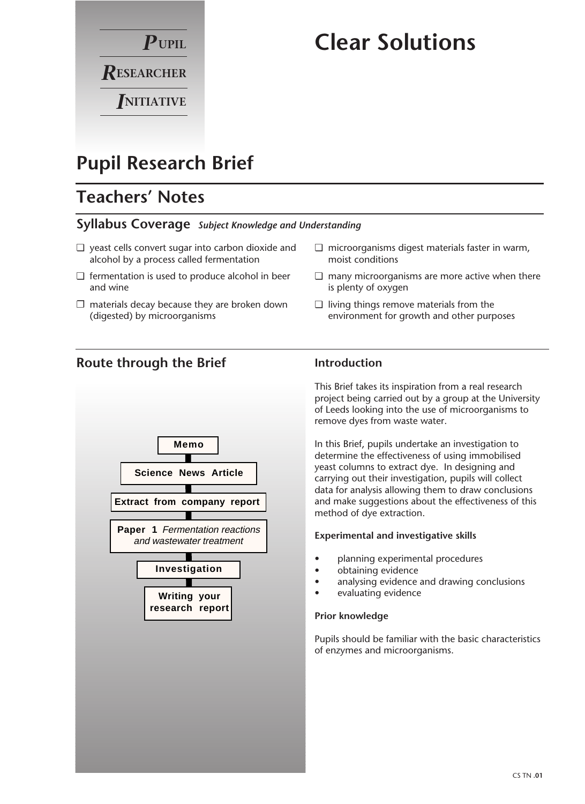

# **Clear Solutions**

## **Pupil Research Brief**

## **Teachers' Notes**

#### **Syllabus Coverage** *Subject Knowledge and Understanding*

- ❏ yeast cells convert sugar into carbon dioxide and alcohol by a process called fermentation
- ❏ fermentation is used to produce alcohol in beer and wine
- $\square$  materials decay because they are broken down (digested) by microorganisms
- ❏ microorganisms digest materials faster in warm, moist conditions
- ❏ many microorganisms are more active when there is plenty of oxygen
- ❏ living things remove materials from the environment for growth and other purposes

### **Route through the Brief**



### **Introduction**

This Brief takes its inspiration from a real research project being carried out by a group at the University of Leeds looking into the use of microorganisms to remove dyes from waste water.

In this Brief, pupils undertake an investigation to determine the effectiveness of using immobilised yeast columns to extract dye. In designing and carrying out their investigation, pupils will collect data for analysis allowing them to draw conclusions and make suggestions about the effectiveness of this method of dye extraction.

#### **Experimental and investigative skills**

- planning experimental procedures
- obtaining evidence
- analysing evidence and drawing conclusions
	- evaluating evidence

#### **Prior knowledge**

Pupils should be familiar with the basic characteristics of enzymes and microorganisms.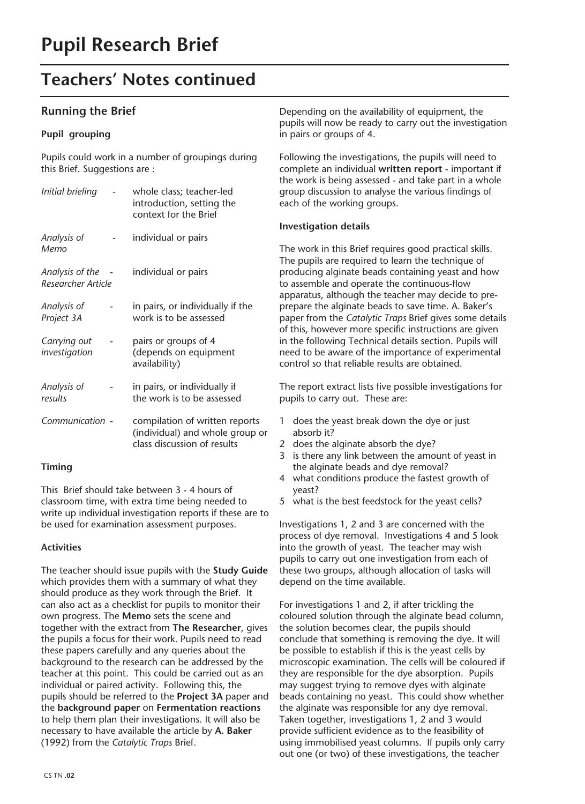### **Teachers' Notes continued**

#### **Running the Brief**

#### **Pupil grouping**

Pupils could work in a number of groupings during this Brief. Suggestions are :

| Initial briefing                        | whole class; teacher-led<br>introduction, setting the<br>context for the Brief                   |
|-----------------------------------------|--------------------------------------------------------------------------------------------------|
| Analysis of<br>Memo                     | individual or pairs                                                                              |
| Analysis of the -<br>Researcher Article | individual or pairs                                                                              |
| Analysis of<br>Project 3A               | in pairs, or individually if the<br>work is to be assessed                                       |
| Carrying out<br>investigation           | pairs or groups of 4<br>(depends on equipment<br>availability)                                   |
| Analysis of<br>results                  | in pairs, or individually if<br>the work is to be assessed                                       |
| Communication -                         | compilation of written reports<br>(individual) and whole group or<br>class discussion of results |

#### **Timing**

This Brief should take between 3 - 4 hours of classroom time, with extra time being needed to write up individual investigation reports if these are to be used for examination assessment purposes.

#### **Activities**

The teacher should issue pupils with the **Study Guide** which provides them with a summary of what they should produce as they work through the Brief. It can also act as a checklist for pupils to monitor their own progress. The **Memo** sets the scene and together with the extract from **The Researcher**, gives the pupils a focus for their work. Pupils need to read these papers carefully and any queries about the background to the research can be addressed by the teacher at this point. This could be carried out as an individual or paired activity. Following this, the pupils should be referred to the **Project 3A** paper and the **background paper** on **Fermentation reactions** to help them plan their investigations. It will also be necessary to have available the article by **A. Baker** (1992) from the *Catalytic Traps* Brief.

Depending on the availability of equipment, the pupils will now be ready to carry out the investigation in pairs or groups of 4.

Following the investigations, the pupils will need to complete an individual **written report** - important if the work is being assessed - and take part in a whole group discussion to analyse the various findings of each of the working groups.

#### **Investigation details**

The work in this Brief requires good practical skills. The pupils are required to learn the technique of producing alginate beads containing yeast and how to assemble and operate the continuous-flow apparatus, although the teacher may decide to preprepare the alginate beads to save time. A. Baker's paper from the *Catalytic Traps* Brief gives some details of this, however more specific instructions are given in the following Technical details section. Pupils will need to be aware of the importance of experimental control so that reliable results are obtained.

The report extract lists five possible investigations for pupils to carry out. These are:

- 1 does the yeast break down the dye or just absorb it?
- 2 does the alginate absorb the dye?
- 3 is there any link between the amount of yeast in the alginate beads and dye removal?
- 4 what conditions produce the fastest growth of yeast?
- 5 what is the best feedstock for the yeast cells?

Investigations 1, 2 and 3 are concerned with the process of dye removal. Investigations 4 and 5 look into the growth of yeast. The teacher may wish pupils to carry out one investigation from each of these two groups, although allocation of tasks will depend on the time available.

For investigations 1 and 2, if after trickling the coloured solution through the alginate bead column, the solution becomes clear, the pupils should conclude that something is removing the dye. It will be possible to establish if this is the yeast cells by microscopic examination. The cells will be coloured if they are responsible for the dye absorption. Pupils may suggest trying to remove dyes with alginate beads containing no yeast. This could show whether the alginate was responsible for any dye removal. Taken together, investigations 1, 2 and 3 would provide sufficient evidence as to the feasibility of using immobilised yeast columns. If pupils only carry out one (or two) of these investigations, the teacher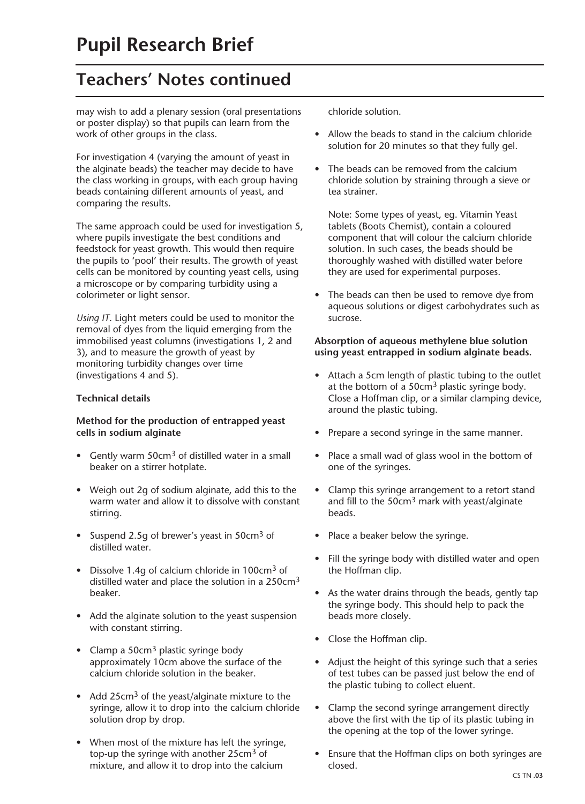## **Teachers' Notes continued**

may wish to add a plenary session (oral presentations or poster display) so that pupils can learn from the work of other groups in the class.

For investigation 4 (varying the amount of yeast in the alginate beads) the teacher may decide to have the class working in groups, with each group having beads containing different amounts of yeast, and comparing the results.

The same approach could be used for investigation 5, where pupils investigate the best conditions and feedstock for yeast growth. This would then require the pupils to 'pool' their results. The growth of yeast cells can be monitored by counting yeast cells, using a microscope or by comparing turbidity using a colorimeter or light sensor.

*Using IT*. Light meters could be used to monitor the removal of dyes from the liquid emerging from the immobilised yeast columns (investigations 1, 2 and 3), and to measure the growth of yeast by monitoring turbidity changes over time (investigations 4 and 5).

#### **Technical details**

#### **Method for the production of entrapped yeast cells in sodium alginate**

- Gently warm 50cm<sup>3</sup> of distilled water in a small beaker on a stirrer hotplate.
- Weigh out 2g of sodium alginate, add this to the warm water and allow it to dissolve with constant stirring.
- Suspend 2.5g of brewer's yeast in 50cm<sup>3</sup> of distilled water.
- Dissolve 1.4g of calcium chloride in 100cm<sup>3</sup> of distilled water and place the solution in a 250cm<sup>3</sup> beaker.
- Add the alginate solution to the yeast suspension with constant stirring.
- Clamp a  $50 \text{cm}^3$  plastic syringe body approximately 10cm above the surface of the calcium chloride solution in the beaker.
- Add 25cm<sup>3</sup> of the yeast/alginate mixture to the syringe, allow it to drop into the calcium chloride solution drop by drop.
- When most of the mixture has left the syringe, top-up the syringe with another 25cm<sup>3</sup> of mixture, and allow it to drop into the calcium

chloride solution.

- Allow the beads to stand in the calcium chloride solution for 20 minutes so that they fully gel.
- The beads can be removed from the calcium chloride solution by straining through a sieve or tea strainer.

Note: Some types of yeast, eg. Vitamin Yeast tablets (Boots Chemist), contain a coloured component that will colour the calcium chloride solution. In such cases, the beads should be thoroughly washed with distilled water before they are used for experimental purposes.

• The beads can then be used to remove dye from aqueous solutions or digest carbohydrates such as sucrose.

#### **Absorption of aqueous methylene blue solution using yeast entrapped in sodium alginate beads.**

- Attach a 5cm length of plastic tubing to the outlet at the bottom of a 50cm3 plastic syringe body. Close a Hoffman clip, or a similar clamping device, around the plastic tubing.
- Prepare a second syringe in the same manner.
- Place a small wad of glass wool in the bottom of one of the syringes.
- Clamp this syringe arrangement to a retort stand and fill to the  $50 \text{cm}^3$  mark with yeast/alginate beads.
- Place a beaker below the syringe.
- Fill the syringe body with distilled water and open the Hoffman clip.
- As the water drains through the beads, gently tap the syringe body. This should help to pack the beads more closely.
- Close the Hoffman clip.
- Adjust the height of this syringe such that a series of test tubes can be passed just below the end of the plastic tubing to collect eluent.
- Clamp the second syringe arrangement directly above the first with the tip of its plastic tubing in the opening at the top of the lower syringe.
- Ensure that the Hoffman clips on both syringes are closed.